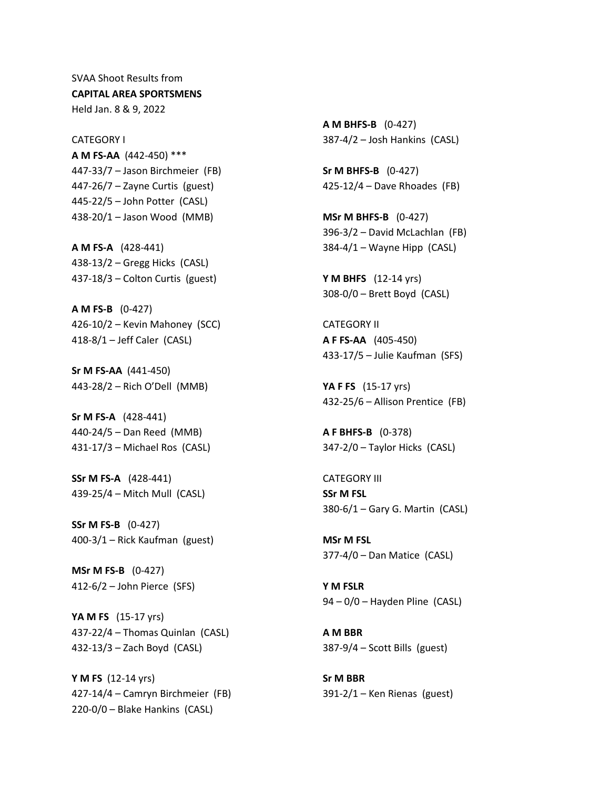SVAA Shoot Results from **CAPITAL AREA SPORTSMENS** Held Jan. 8 & 9, 2022

CATEGORY I **A M FS-AA** (442-450) \*\*\* 447-33/7 – Jason Birchmeier (FB) 447-26/7 – Zayne Curtis (guest) 445-22/5 – John Potter (CASL) 438-20/1 – Jason Wood (MMB)

**A M FS-A** (428-441) 438-13/2 – Gregg Hicks (CASL) 437-18/3 – Colton Curtis (guest)

**A M FS-B** (0-427) 426-10/2 – Kevin Mahoney (SCC) 418-8/1 – Jeff Caler (CASL)

**Sr M FS-AA** (441-450) 443-28/2 – Rich O'Dell (MMB)

**Sr M FS-A** (428-441) 440-24/5 – Dan Reed (MMB) 431-17/3 – Michael Ros (CASL)

**SSr M FS-A** (428-441) 439-25/4 – Mitch Mull (CASL)

**SSr M FS-B** (0-427) 400-3/1 – Rick Kaufman (guest)

**MSr M FS-B** (0-427) 412-6/2 – John Pierce (SFS)

**YA M FS** (15-17 yrs) 437-22/4 – Thomas Quinlan (CASL) 432-13/3 – Zach Boyd (CASL)

**Y M FS** (12-14 yrs) 427-14/4 – Camryn Birchmeier (FB) 220-0/0 – Blake Hankins (CASL)

**A M BHFS-B** (0-427) 387-4/2 – Josh Hankins (CASL)

**Sr M BHFS-B** (0-427) 425-12/4 – Dave Rhoades (FB)

**MSr M BHFS-B** (0-427) 396-3/2 – David McLachlan (FB) 384-4/1 – Wayne Hipp (CASL)

**Y M BHFS** (12-14 yrs) 308-0/0 – Brett Boyd (CASL)

CATEGORY II **A F FS-AA** (405-450) 433-17/5 – Julie Kaufman (SFS)

**YA F FS** (15-17 yrs) 432-25/6 – Allison Prentice (FB)

**A F BHFS-B** (0-378) 347-2/0 – Taylor Hicks (CASL)

CATEGORY III **SSr M FSL** 380-6/1 – Gary G. Martin (CASL)

**MSr M FSL** 377-4/0 – Dan Matice (CASL)

**Y M FSLR** 94 – 0/0 – Hayden Pline (CASL)

**A M BBR** 387-9/4 – Scott Bills (guest)

**Sr M BBR** 391-2/1 – Ken Rienas (guest)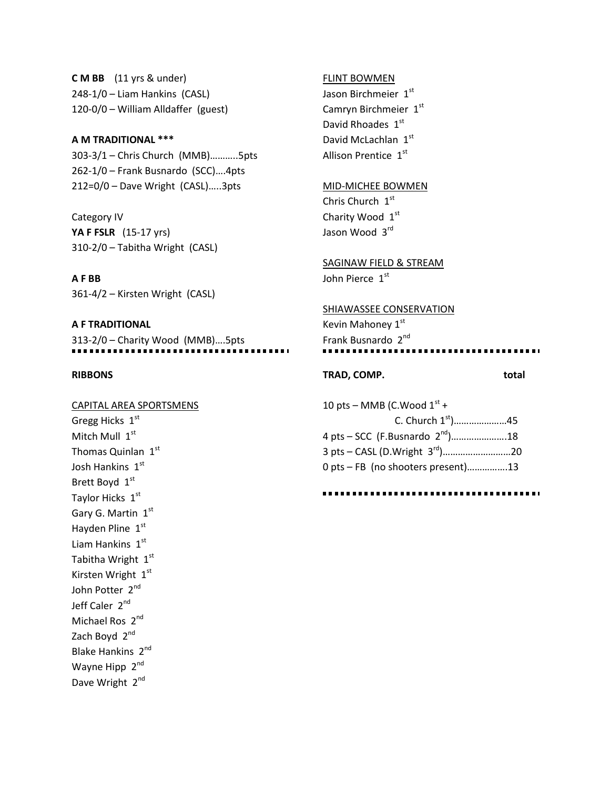**C M BB** (11 yrs & under) 248-1/0 – Liam Hankins (CASL) 120-0/0 – William Alldaffer (guest)

## **A M TRADITIONAL \*\*\***

303-3/1 – Chris Church (MMB)………..5pts 262-1/0 – Frank Busnardo (SCC)….4pts 212=0/0 – Dave Wright (CASL)…..3pts

Category IV **YA F FSLR** (15-17 yrs) 310-2/0 – Tabitha Wright (CASL)

**A F BB** 361-4/2 – Kirsten Wright (CASL)

**A F TRADITIONAL** 313-2/0 – Charity Wood (MMB)….5pts

## **RIBBONS**

## CAPITAL AREA SPORTSMENS

Gregg Hicks 1st Mitch Mull 1st Thomas Quinlan  $1<sup>st</sup>$ Josh Hankins 1st Brett Boyd 1st Taylor Hicks 1st Gary G. Martin 1st Hayden Pline  $1<sup>st</sup>$ Liam Hankins  $1<sup>st</sup>$ Tabitha Wright 1st Kirsten Wright 1st John Potter 2<sup>nd</sup> Jeff Caler 2nd Michael Ros 2<sup>nd</sup> Zach Boyd 2<sup>nd</sup> Blake Hankins 2nd Wayne Hipp 2<sup>nd</sup> Dave Wright 2<sup>nd</sup>

#### FLINT BOWMEN

Jason Birchmeier 1st Camryn Birchmeier 1st David Rhoades 1st David McLachlan 1st Allison Prentice 1st

## MID-MICHEE BOWMEN

Chris Church  $1<sup>st</sup>$ Charity Wood 1st Jason Wood 3rd

SAGINAW FIELD & STREAM

John Pierce 1st

## SHIAWASSEE CONSERVATION

Kevin Mahoney 1st Frank Busnardo 2<sup>nd</sup>

# **TRAD, COMP. total**

10 pts – MMB (C.Wood  $1<sup>st</sup>$  + C. Church 1st)…………………45 4 pts – SCC (F.Busnardo 2<sup>nd</sup>).......................18 3 pts – CASL (D.Wright 3rd)………………………20 0 pts – FB (no shooters present)…………….13